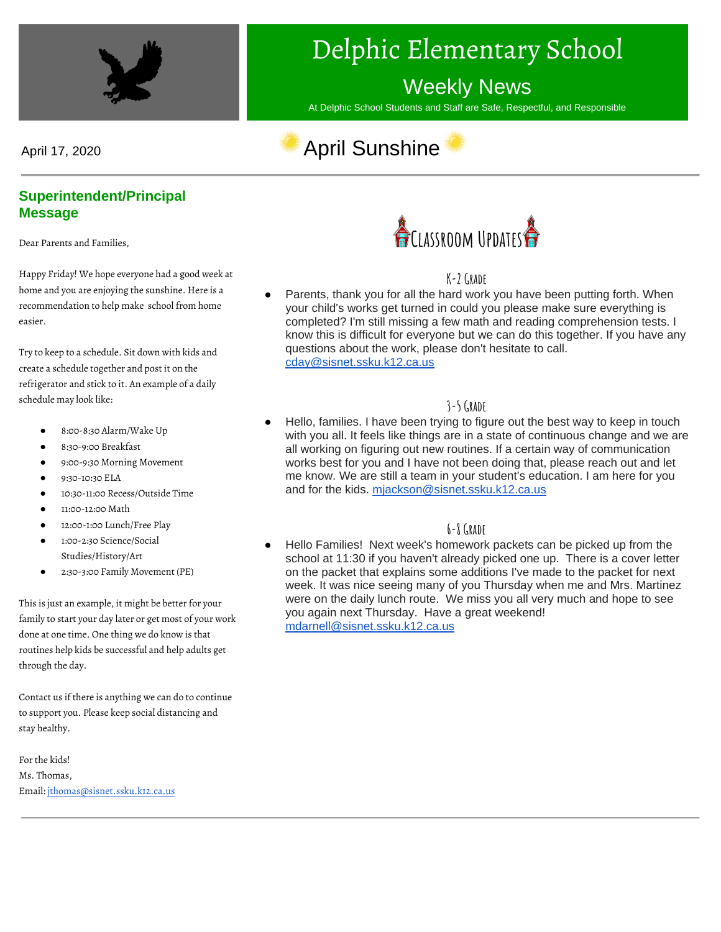

# Delphic Elementary School

# Weekly News

At Delphic School Students and Staff are Safe, Respectful, and Responsible

# April 17, 2020 **April Sunshine**



#### **Superintendent/Principal Message**

Dear Parents and Families,

Happy Friday! We hope everyone had a good week at home and you are enjoying the sunshine. Here is a recommendation to help make school from home easier.

Try to keep to a schedule. Sit down with kids and create a schedule together and post it on the refrigerator and stick to it. An example of a daily schedule may look like:

- 8:00-8:30 Alarm/Wake Up
- 8:30-9:00 Breakfast
- 9:00-9:30 Morning Movement
- 9:30-10:30 ELA
- 10:30-11:00 Recess/Outside Time
- 11:00-12:00 Math
- 12:00-1:00 Lunch/Free Play
- 1:00-2:30 Science/Social Studies/History/Art
- 2:30-3:00 Family Movement (PE)

This is just an example, it might be better for your family to start your day later or get most of your work done at one time. One thing we do know is that routines help kids be successful and help adults get through the day.

Contact us if there is anything we can do to continue to support you. Please keep social distancing and stay healthy.

For the kids! Ms. Thomas, Email[: jthomas@sisnet.ssku.k12.ca.us](mailto:jthomas@sisnet.ssku.k12.ca.us)



**K-2 Grade**

Parents, thank you for all the hard work you have been putting forth. When your child's works get turned in could you please make sure everything is completed? I'm still missing a few math and reading comprehension tests. I know this is difficult for everyone but we can do this together. If you have any questions about the work, please don't hesitate to call. [cday@sisnet.ssku.k12.ca.us](mailto:cday@sisnet.ssku.k12.ca.us)

#### **3-5 Grade**

Hello, families. I have been trying to figure out the best way to keep in touch with you all. It feels like things are in a state of continuous change and we are all working on figuring out new routines. If a certain way of communication works best for you and I have not been doing that, please reach out and let me know. We are still a team in your student's education. I am here for you and for the kids. [mjackson@sisnet.ssku.k12.ca.us](mailto:mjackson@sisnet.ssku.k12.ca.us)

#### **6-8 Grade**

Hello Families! Next week's homework packets can be picked up from the school at 11:30 if you haven't already picked one up. There is a cover letter on the packet that explains some additions I've made to the packet for next week. It was nice seeing many of you Thursday when me and Mrs. Martinez were on the daily lunch route. We miss you all very much and hope to see you again next Thursday. Have a great weekend! [mdarnell@sisnet.ssku.k12.ca.us](mailto:mdarnell@sisnet.ssku.k12.ca.us)